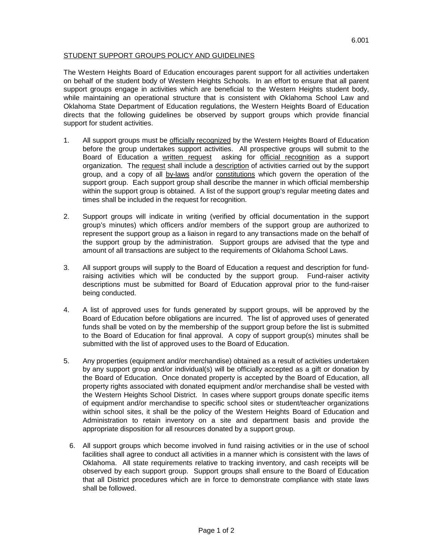## STUDENT SUPPORT GROUPS POLICY AND GUIDELINES

The Western Heights Board of Education encourages parent support for all activities undertaken on behalf of the student body of Western Heights Schools. In an effort to ensure that all parent support groups engage in activities which are beneficial to the Western Heights student body, while maintaining an operational structure that is consistent with Oklahoma School Law and Oklahoma State Department of Education regulations, the Western Heights Board of Education directs that the following guidelines be observed by support groups which provide financial support for student activities.

- 1. All support groups must be officially recognized by the Western Heights Board of Education before the group undertakes support activities. All prospective groups will submit to the Board of Education a written request asking for official recognition as a support organization. The request shall include a description of activities carried out by the support group, and a copy of all by-laws and/or constitutions which govern the operation of the support group. Each support group shall describe the manner in which official membership within the support group is obtained. A list of the support group's regular meeting dates and times shall be included in the request for recognition.
- 2. Support groups will indicate in writing (verified by official documentation in the support group's minutes) which officers and/or members of the support group are authorized to represent the support group as a liaison in regard to any transactions made on the behalf of the support group by the administration. Support groups are advised that the type and amount of all transactions are subject to the requirements of Oklahoma School Laws.
- 3. All support groups will supply to the Board of Education a request and description for fundraising activities which will be conducted by the support group. Fund-raiser activity descriptions must be submitted for Board of Education approval prior to the fund-raiser being conducted.
- 4. A list of approved uses for funds generated by support groups, will be approved by the Board of Education before obligations are incurred. The list of approved uses of generated funds shall be voted on by the membership of the support group before the list is submitted to the Board of Education for final approval. A copy of support group(s) minutes shall be submitted with the list of approved uses to the Board of Education.
- 5. Any properties (equipment and/or merchandise) obtained as a result of activities undertaken by any support group and/or individual(s) will be officially accepted as a gift or donation by the Board of Education. Once donated property is accepted by the Board of Education, all property rights associated with donated equipment and/or merchandise shall be vested with the Western Heights School District. In cases where support groups donate specific items of equipment and/or merchandise to specific school sites or student/teacher organizations within school sites, it shall be the policy of the Western Heights Board of Education and Administration to retain inventory on a site and department basis and provide the appropriate disposition for all resources donated by a support group.
	- 6. All support groups which become involved in fund raising activities or in the use of school facilities shall agree to conduct all activities in a manner which is consistent with the laws of Oklahoma. All state requirements relative to tracking inventory, and cash receipts will be observed by each support group. Support groups shall ensure to the Board of Education that all District procedures which are in force to demonstrate compliance with state laws shall be followed.